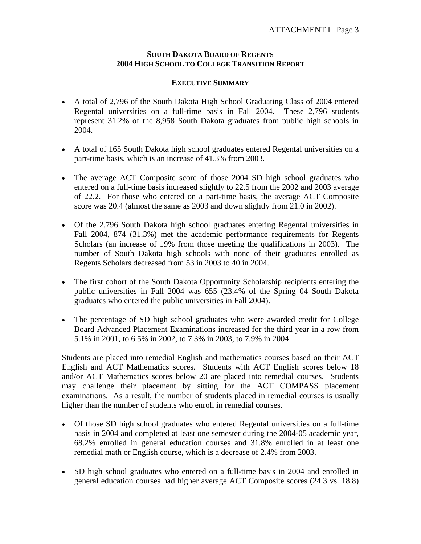### **SOUTH DAKOTA BOARD OF REGENTS 2004 HIGH SCHOOL TO COLLEGE TRANSITION REPORT**

### **EXECUTIVE SUMMARY**

- A total of 2,796 of the South Dakota High School Graduating Class of 2004 entered Regental universities on a full-time basis in Fall 2004. These 2,796 students represent 31.2% of the 8,958 South Dakota graduates from public high schools in 2004.
- A total of 165 South Dakota high school graduates entered Regental universities on a part-time basis, which is an increase of 41.3% from 2003.
- The average ACT Composite score of those 2004 SD high school graduates who entered on a full-time basis increased slightly to 22.5 from the 2002 and 2003 average of 22.2. For those who entered on a part-time basis, the average ACT Composite score was 20.4 (almost the same as 2003 and down slightly from 21.0 in 2002).
- Of the 2,796 South Dakota high school graduates entering Regental universities in Fall 2004, 874 (31.3%) met the academic performance requirements for Regents Scholars (an increase of 19% from those meeting the qualifications in 2003). The number of South Dakota high schools with none of their graduates enrolled as Regents Scholars decreased from 53 in 2003 to 40 in 2004.
- The first cohort of the South Dakota Opportunity Scholarship recipients entering the public universities in Fall 2004 was 655 (23.4% of the Spring 04 South Dakota graduates who entered the public universities in Fall 2004).
- The percentage of SD high school graduates who were awarded credit for College Board Advanced Placement Examinations increased for the third year in a row from 5.1% in 2001, to 6.5% in 2002, to 7.3% in 2003, to 7.9% in 2004.

Students are placed into remedial English and mathematics courses based on their ACT English and ACT Mathematics scores. Students with ACT English scores below 18 and/or ACT Mathematics scores below 20 are placed into remedial courses. Students may challenge their placement by sitting for the ACT COMPASS placement examinations. As a result, the number of students placed in remedial courses is usually higher than the number of students who enroll in remedial courses.

- Of those SD high school graduates who entered Regental universities on a full-time basis in 2004 and completed at least one semester during the 2004-05 academic year, 68.2% enrolled in general education courses and 31.8% enrolled in at least one remedial math or English course, which is a decrease of 2.4% from 2003.
- SD high school graduates who entered on a full-time basis in 2004 and enrolled in general education courses had higher average ACT Composite scores (24.3 vs. 18.8)